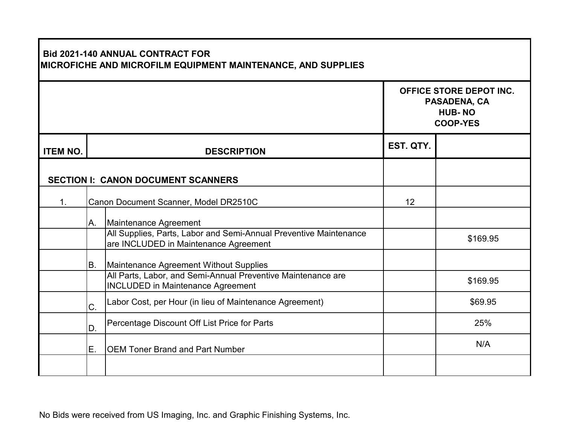|                 |                                       | <b>Bid 2021-140 ANNUAL CONTRACT FOR</b><br>MICROFICHE AND MICROFILM EQUIPMENT MAINTENANCE, AND SUPPLIES    |           | OFFICE STORE DEPOT INC.<br>PASADENA, CA<br><b>HUB-NO</b><br><b>COOP-YES</b> |
|-----------------|---------------------------------------|------------------------------------------------------------------------------------------------------------|-----------|-----------------------------------------------------------------------------|
| <b>ITEM NO.</b> |                                       | <b>DESCRIPTION</b>                                                                                         | EST. QTY. |                                                                             |
|                 |                                       | <b>SECTION I: CANON DOCUMENT SCANNERS</b>                                                                  |           |                                                                             |
| $\mathbf 1$ .   | Canon Document Scanner, Model DR2510C |                                                                                                            | 12        |                                                                             |
|                 | Α.                                    | Maintenance Agreement                                                                                      |           |                                                                             |
|                 |                                       | All Supplies, Parts, Labor and Semi-Annual Preventive Maintenance<br>are INCLUDED in Maintenance Agreement |           | \$169.95                                                                    |
|                 | B.                                    | Maintenance Agreement Without Supplies                                                                     |           |                                                                             |
|                 |                                       | All Parts, Labor, and Semi-Annual Preventive Maintenance are<br><b>INCLUDED in Maintenance Agreement</b>   |           | \$169.95                                                                    |
|                 | C.                                    | Labor Cost, per Hour (in lieu of Maintenance Agreement)                                                    |           | \$69.95                                                                     |
|                 | D.                                    | Percentage Discount Off List Price for Parts                                                               |           | 25%                                                                         |
|                 | Ε.                                    | <b>OEM Toner Brand and Part Number</b>                                                                     |           | N/A                                                                         |
|                 |                                       |                                                                                                            |           |                                                                             |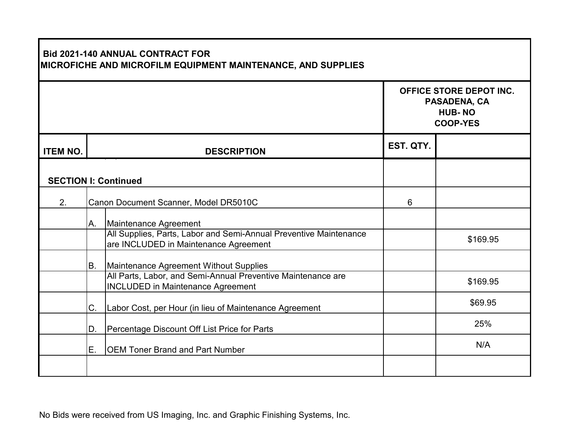|                             |                                       | <b>Bid 2021-140 ANNUAL CONTRACT FOR</b><br>MICROFICHE AND MICROFILM EQUIPMENT MAINTENANCE, AND SUPPLIES    |           | OFFICE STORE DEPOT INC.<br>PASADENA, CA |
|-----------------------------|---------------------------------------|------------------------------------------------------------------------------------------------------------|-----------|-----------------------------------------|
|                             |                                       |                                                                                                            |           | <b>HUB-NO</b><br><b>COOP-YES</b>        |
| <b>ITEM NO.</b>             |                                       | <b>DESCRIPTION</b>                                                                                         | EST. QTY. |                                         |
| <b>SECTION I: Continued</b> |                                       |                                                                                                            |           |                                         |
| 2.                          | Canon Document Scanner, Model DR5010C |                                                                                                            | 6         |                                         |
|                             | Α.                                    | Maintenance Agreement                                                                                      |           |                                         |
|                             |                                       | All Supplies, Parts, Labor and Semi-Annual Preventive Maintenance<br>are INCLUDED in Maintenance Agreement |           | \$169.95                                |
|                             | B.                                    | Maintenance Agreement Without Supplies                                                                     |           |                                         |
|                             |                                       | All Parts, Labor, and Semi-Annual Preventive Maintenance are<br><b>INCLUDED in Maintenance Agreement</b>   |           | \$169.95                                |
|                             | C.                                    | Labor Cost, per Hour (in lieu of Maintenance Agreement                                                     |           | \$69.95                                 |
|                             | D.                                    | Percentage Discount Off List Price for Parts                                                               |           | 25%                                     |
|                             | Ε.                                    | <b>OEM Toner Brand and Part Number</b>                                                                     |           | N/A                                     |
|                             |                                       |                                                                                                            |           |                                         |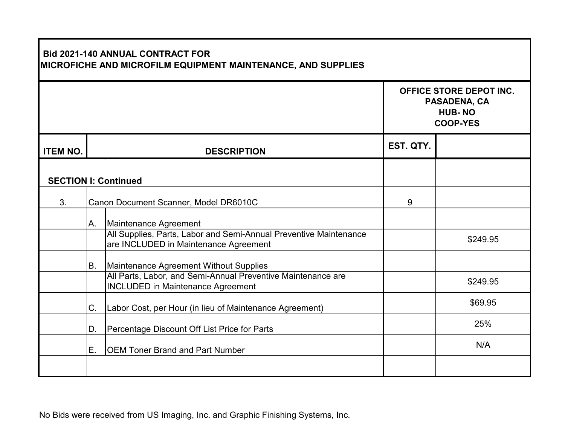|                             |                                       | <b>Bid 2021-140 ANNUAL CONTRACT FOR</b><br>MICROFICHE AND MICROFILM EQUIPMENT MAINTENANCE, AND SUPPLIES    |           | OFFICE STORE DEPOT INC.<br>PASADENA, CA<br><b>HUB-NO</b><br><b>COOP-YES</b> |
|-----------------------------|---------------------------------------|------------------------------------------------------------------------------------------------------------|-----------|-----------------------------------------------------------------------------|
| <b>ITEM NO.</b>             |                                       | <b>DESCRIPTION</b>                                                                                         | EST. QTY. |                                                                             |
| <b>SECTION I: Continued</b> |                                       |                                                                                                            |           |                                                                             |
| 3.                          | Canon Document Scanner, Model DR6010C |                                                                                                            | 9         |                                                                             |
|                             | Α.                                    | Maintenance Agreement                                                                                      |           |                                                                             |
|                             |                                       | All Supplies, Parts, Labor and Semi-Annual Preventive Maintenance<br>are INCLUDED in Maintenance Agreement |           | \$249.95                                                                    |
|                             | B.                                    | Maintenance Agreement Without Supplies                                                                     |           |                                                                             |
|                             |                                       | All Parts, Labor, and Semi-Annual Preventive Maintenance are<br><b>INCLUDED in Maintenance Agreement</b>   |           | \$249.95                                                                    |
|                             | C.                                    | Labor Cost, per Hour (in lieu of Maintenance Agreement)                                                    |           | \$69.95                                                                     |
|                             | D.                                    | Percentage Discount Off List Price for Parts                                                               |           | 25%                                                                         |
|                             | Ε.                                    | <b>OEM Toner Brand and Part Number</b>                                                                     |           | N/A                                                                         |
|                             |                                       |                                                                                                            |           |                                                                             |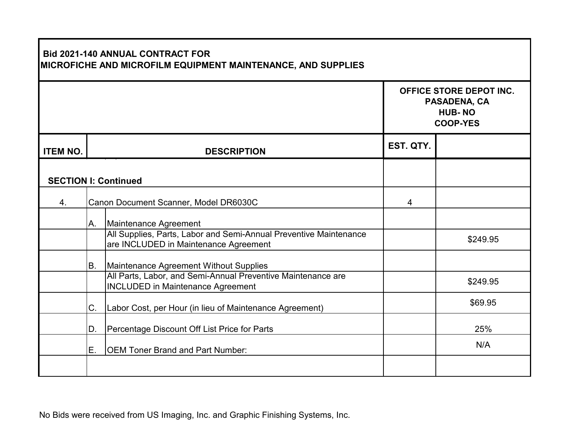|                             |                                       | <b>Bid 2021-140 ANNUAL CONTRACT FOR</b><br>MICROFICHE AND MICROFILM EQUIPMENT MAINTENANCE, AND SUPPLIES    |           | OFFICE STORE DEPOT INC.<br>PASADENA, CA<br><b>HUB-NO</b><br><b>COOP-YES</b> |
|-----------------------------|---------------------------------------|------------------------------------------------------------------------------------------------------------|-----------|-----------------------------------------------------------------------------|
| <b>ITEM NO.</b>             |                                       | <b>DESCRIPTION</b>                                                                                         | EST. QTY. |                                                                             |
| <b>SECTION I: Continued</b> |                                       |                                                                                                            |           |                                                                             |
| 4.                          | Canon Document Scanner, Model DR6030C |                                                                                                            | 4         |                                                                             |
|                             | Α.                                    | Maintenance Agreement                                                                                      |           |                                                                             |
|                             |                                       | All Supplies, Parts, Labor and Semi-Annual Preventive Maintenance<br>are INCLUDED in Maintenance Agreement |           | \$249.95                                                                    |
|                             | B.                                    | Maintenance Agreement Without Supplies                                                                     |           |                                                                             |
|                             |                                       | All Parts, Labor, and Semi-Annual Preventive Maintenance are<br><b>INCLUDED in Maintenance Agreement</b>   |           | \$249.95                                                                    |
|                             | C.                                    | Labor Cost, per Hour (in lieu of Maintenance Agreement)                                                    |           | \$69.95                                                                     |
|                             | D.                                    | Percentage Discount Off List Price for Parts                                                               |           | 25%                                                                         |
|                             | Ε.                                    | <b>OEM Toner Brand and Part Number:</b>                                                                    |           | N/A                                                                         |
|                             |                                       |                                                                                                            |           |                                                                             |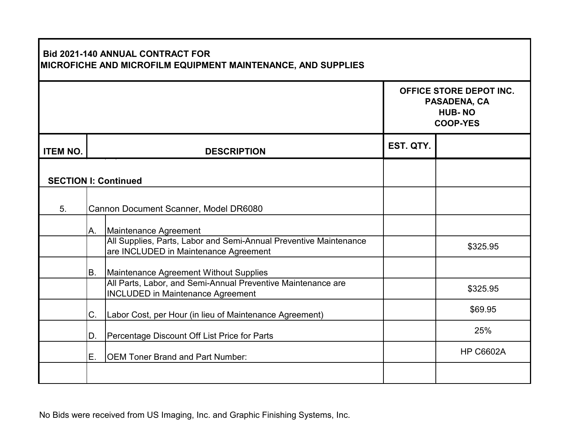| <b>Bid 2021-140 ANNUAL CONTRACT FOR</b><br>MICROFICHE AND MICROFILM EQUIPMENT MAINTENANCE, AND SUPPLIES |                                       |                                                                                                            |           |                                                                             |
|---------------------------------------------------------------------------------------------------------|---------------------------------------|------------------------------------------------------------------------------------------------------------|-----------|-----------------------------------------------------------------------------|
|                                                                                                         |                                       |                                                                                                            |           | OFFICE STORE DEPOT INC.<br>PASADENA, CA<br><b>HUB-NO</b><br><b>COOP-YES</b> |
| <b>ITEM NO.</b>                                                                                         |                                       | <b>DESCRIPTION</b>                                                                                         | EST. QTY. |                                                                             |
| <b>SECTION I: Continued</b>                                                                             |                                       |                                                                                                            |           |                                                                             |
| 5.                                                                                                      | Cannon Document Scanner, Model DR6080 |                                                                                                            |           |                                                                             |
|                                                                                                         | А.                                    | Maintenance Agreement                                                                                      |           |                                                                             |
|                                                                                                         |                                       | All Supplies, Parts, Labor and Semi-Annual Preventive Maintenance<br>are INCLUDED in Maintenance Agreement |           | \$325.95                                                                    |
|                                                                                                         | B.                                    | Maintenance Agreement Without Supplies                                                                     |           |                                                                             |
|                                                                                                         |                                       | All Parts, Labor, and Semi-Annual Preventive Maintenance are<br><b>INCLUDED in Maintenance Agreement</b>   |           | \$325.95                                                                    |
|                                                                                                         | C.                                    | Labor Cost, per Hour (in lieu of Maintenance Agreement)                                                    |           | \$69.95                                                                     |
|                                                                                                         | D.                                    | Percentage Discount Off List Price for Parts                                                               |           | 25%                                                                         |
|                                                                                                         | E.                                    | <b>OEM Toner Brand and Part Number:</b>                                                                    |           | <b>HP C6602A</b>                                                            |
|                                                                                                         |                                       |                                                                                                            |           |                                                                             |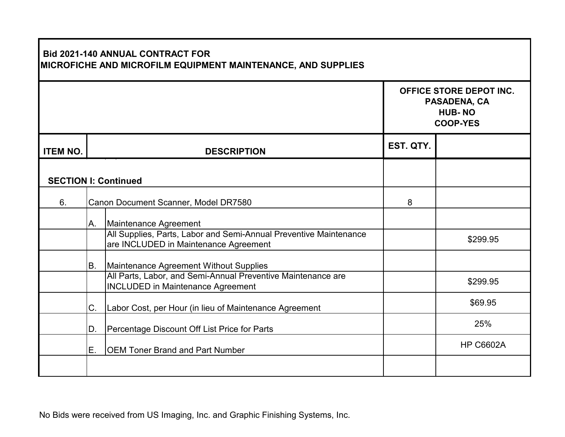|                             |                                      | <b>Bid 2021-140 ANNUAL CONTRACT FOR</b><br>MICROFICHE AND MICROFILM EQUIPMENT MAINTENANCE, AND SUPPLIES    |           | OFFICE STORE DEPOT INC.<br>PASADENA, CA<br><b>HUB-NO</b><br><b>COOP-YES</b> |
|-----------------------------|--------------------------------------|------------------------------------------------------------------------------------------------------------|-----------|-----------------------------------------------------------------------------|
| <b>ITEM NO.</b>             |                                      | <b>DESCRIPTION</b>                                                                                         | EST. QTY. |                                                                             |
| <b>SECTION I: Continued</b> |                                      |                                                                                                            |           |                                                                             |
| 6.                          | Canon Document Scanner, Model DR7580 |                                                                                                            | 8         |                                                                             |
|                             | Α.                                   | Maintenance Agreement                                                                                      |           |                                                                             |
|                             |                                      | All Supplies, Parts, Labor and Semi-Annual Preventive Maintenance<br>are INCLUDED in Maintenance Agreement |           | \$299.95                                                                    |
|                             | B.                                   | Maintenance Agreement Without Supplies                                                                     |           |                                                                             |
|                             |                                      | All Parts, Labor, and Semi-Annual Preventive Maintenance are<br><b>INCLUDED in Maintenance Agreement</b>   |           | \$299.95                                                                    |
|                             | C.                                   | Labor Cost, per Hour (in lieu of Maintenance Agreement                                                     |           | \$69.95                                                                     |
|                             | D.                                   | Percentage Discount Off List Price for Parts                                                               |           | 25%                                                                         |
|                             | Ε.                                   | <b>OEM Toner Brand and Part Number</b>                                                                     |           | <b>HP C6602A</b>                                                            |
|                             |                                      |                                                                                                            |           |                                                                             |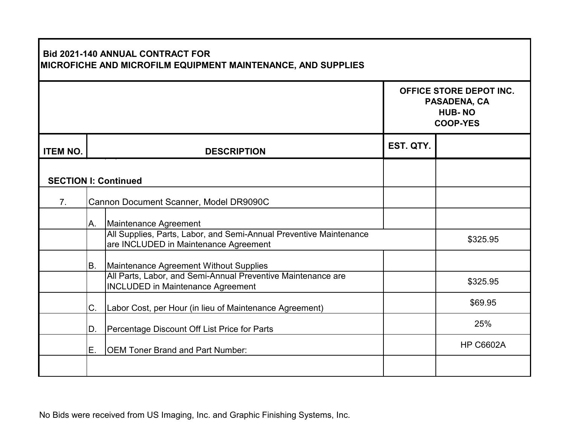|                             |    | <b>Bid 2021-140 ANNUAL CONTRACT FOR</b><br>MICROFICHE AND MICROFILM EQUIPMENT MAINTENANCE, AND SUPPLIES     |           | OFFICE STORE DEPOT INC.<br>PASADENA, CA<br><b>HUB-NO</b><br><b>COOP-YES</b> |
|-----------------------------|----|-------------------------------------------------------------------------------------------------------------|-----------|-----------------------------------------------------------------------------|
| <b>ITEM NO.</b>             |    | <b>DESCRIPTION</b>                                                                                          | EST. QTY. |                                                                             |
| <b>SECTION I: Continued</b> |    |                                                                                                             |           |                                                                             |
| 7 <sub>1</sub>              |    | Cannon Document Scanner, Model DR9090C                                                                      |           |                                                                             |
|                             | Α. | Maintenance Agreement                                                                                       |           |                                                                             |
|                             |    | All Supplies, Parts, Labor, and Semi-Annual Preventive Maintenance<br>are INCLUDED in Maintenance Agreement |           | \$325.95                                                                    |
|                             | B. | Maintenance Agreement Without Supplies                                                                      |           |                                                                             |
|                             |    | All Parts, Labor, and Semi-Annual Preventive Maintenance are<br><b>INCLUDED in Maintenance Agreement</b>    |           | \$325.95                                                                    |
|                             | C. | Labor Cost, per Hour (in lieu of Maintenance Agreement)                                                     |           | \$69.95                                                                     |
|                             | D. | Percentage Discount Off List Price for Parts                                                                |           | 25%                                                                         |
|                             | E. | <b>OEM Toner Brand and Part Number:</b>                                                                     |           | <b>HP C6602A</b>                                                            |
|                             |    |                                                                                                             |           |                                                                             |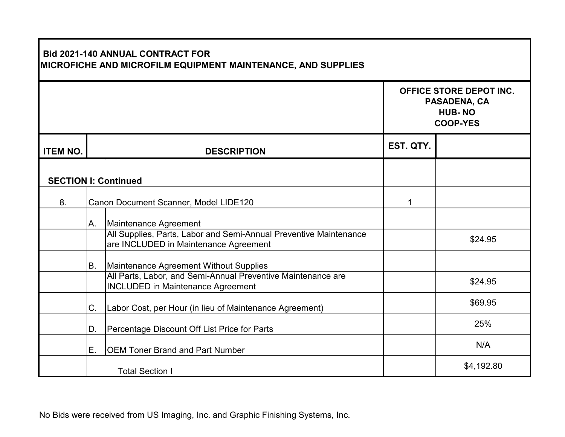| <b>Bid 2021-140 ANNUAL CONTRACT FOR</b><br>MICROFICHE AND MICROFILM EQUIPMENT MAINTENANCE, AND SUPPLIES |                                       |                                                                                                            |           |                                                                             |
|---------------------------------------------------------------------------------------------------------|---------------------------------------|------------------------------------------------------------------------------------------------------------|-----------|-----------------------------------------------------------------------------|
|                                                                                                         |                                       |                                                                                                            |           | OFFICE STORE DEPOT INC.<br>PASADENA, CA<br><b>HUB-NO</b><br><b>COOP-YES</b> |
| <b>ITEM NO.</b>                                                                                         |                                       | <b>DESCRIPTION</b>                                                                                         | EST. QTY. |                                                                             |
| <b>SECTION I: Continued</b>                                                                             |                                       |                                                                                                            |           |                                                                             |
| 8.                                                                                                      | Canon Document Scanner, Model LIDE120 |                                                                                                            | 1         |                                                                             |
|                                                                                                         | Α.                                    | Maintenance Agreement                                                                                      |           |                                                                             |
|                                                                                                         |                                       | All Supplies, Parts, Labor and Semi-Annual Preventive Maintenance<br>are INCLUDED in Maintenance Agreement |           | \$24.95                                                                     |
|                                                                                                         | B.                                    | Maintenance Agreement Without Supplies                                                                     |           |                                                                             |
|                                                                                                         |                                       | All Parts, Labor, and Semi-Annual Preventive Maintenance are<br><b>INCLUDED in Maintenance Agreement</b>   |           | \$24.95                                                                     |
|                                                                                                         | C.                                    | Labor Cost, per Hour (in lieu of Maintenance Agreement)                                                    |           | \$69.95                                                                     |
|                                                                                                         | D.                                    | Percentage Discount Off List Price for Parts                                                               |           | 25%                                                                         |
|                                                                                                         | E.                                    | <b>OEM Toner Brand and Part Number</b>                                                                     |           | N/A                                                                         |
|                                                                                                         |                                       | <b>Total Section I</b>                                                                                     |           | \$4,192.80                                                                  |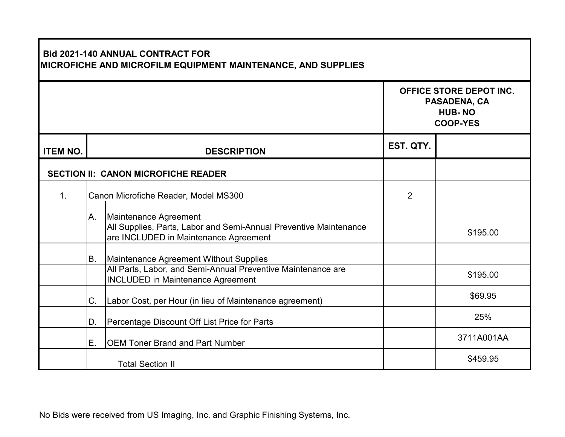| <b>Bid 2021-140 ANNUAL CONTRACT FOR</b><br>MICROFICHE AND MICROFILM EQUIPMENT MAINTENANCE, AND SUPPLIES |    |                                                                                                            |                |                                                                             |  |
|---------------------------------------------------------------------------------------------------------|----|------------------------------------------------------------------------------------------------------------|----------------|-----------------------------------------------------------------------------|--|
|                                                                                                         |    |                                                                                                            |                | OFFICE STORE DEPOT INC.<br>PASADENA, CA<br><b>HUB-NO</b><br><b>COOP-YES</b> |  |
| <b>ITEM NO.</b>                                                                                         |    | <b>DESCRIPTION</b>                                                                                         | EST. QTY.      |                                                                             |  |
|                                                                                                         |    | <b>SECTION II: CANON MICROFICHE READER</b>                                                                 |                |                                                                             |  |
| $\mathbf{1}$ .                                                                                          |    | Canon Microfiche Reader, Model MS300                                                                       | $\overline{2}$ |                                                                             |  |
|                                                                                                         | А. | Maintenance Agreement                                                                                      |                |                                                                             |  |
|                                                                                                         |    | All Supplies, Parts, Labor and Semi-Annual Preventive Maintenance<br>are INCLUDED in Maintenance Agreement |                | \$195.00                                                                    |  |
|                                                                                                         | B. | Maintenance Agreement Without Supplies                                                                     |                |                                                                             |  |
|                                                                                                         |    | All Parts, Labor, and Semi-Annual Preventive Maintenance are<br><b>INCLUDED in Maintenance Agreement</b>   |                | \$195.00                                                                    |  |
|                                                                                                         | C. | Labor Cost, per Hour (in lieu of Maintenance agreement)                                                    |                | \$69.95                                                                     |  |
|                                                                                                         | D. | Percentage Discount Off List Price for Parts                                                               |                | 25%                                                                         |  |
|                                                                                                         | E. | <b>OEM Toner Brand and Part Number</b>                                                                     |                | 3711A001AA                                                                  |  |
|                                                                                                         |    | <b>Total Section II</b>                                                                                    |                | \$459.95                                                                    |  |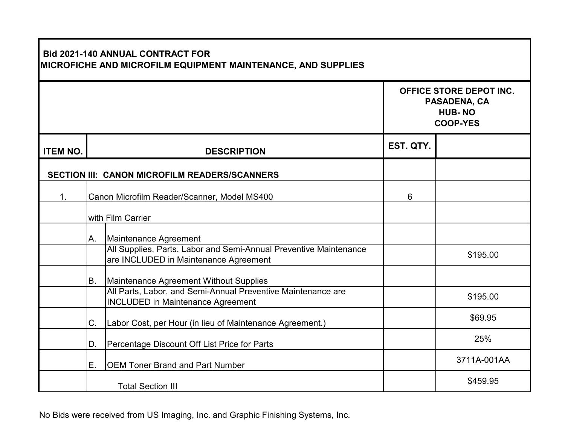| <b>Bid 2021-140 ANNUAL CONTRACT FOR</b><br>MICROFICHE AND MICROFILM EQUIPMENT MAINTENANCE, AND SUPPLIES |                                             |                                                                                                            |           |                                                                             |  |
|---------------------------------------------------------------------------------------------------------|---------------------------------------------|------------------------------------------------------------------------------------------------------------|-----------|-----------------------------------------------------------------------------|--|
|                                                                                                         |                                             |                                                                                                            |           | OFFICE STORE DEPOT INC.<br>PASADENA, CA<br><b>HUB-NO</b><br><b>COOP-YES</b> |  |
| <b>ITEM NO.</b>                                                                                         |                                             | <b>DESCRIPTION</b>                                                                                         | EST. QTY. |                                                                             |  |
|                                                                                                         |                                             | SECTION III: CANON MICROFILM READERS/SCANNERS                                                              |           |                                                                             |  |
| $\mathbf{1}$ .                                                                                          | Canon Microfilm Reader/Scanner, Model MS400 |                                                                                                            | 6         |                                                                             |  |
|                                                                                                         | with Film Carrier                           |                                                                                                            |           |                                                                             |  |
|                                                                                                         | Α.                                          | Maintenance Agreement                                                                                      |           |                                                                             |  |
|                                                                                                         |                                             | All Supplies, Parts, Labor and Semi-Annual Preventive Maintenance<br>are INCLUDED in Maintenance Agreement |           | \$195.00                                                                    |  |
|                                                                                                         | В.                                          | Maintenance Agreement Without Supplies                                                                     |           |                                                                             |  |
|                                                                                                         |                                             | All Parts, Labor, and Semi-Annual Preventive Maintenance are<br><b>INCLUDED in Maintenance Agreement</b>   |           | \$195.00                                                                    |  |
|                                                                                                         | C.                                          | Labor Cost, per Hour (in lieu of Maintenance Agreement.)                                                   |           | \$69.95                                                                     |  |
|                                                                                                         | D.                                          | Percentage Discount Off List Price for Parts                                                               |           | 25%                                                                         |  |
|                                                                                                         | Ε.                                          | <b>OEM Toner Brand and Part Number</b>                                                                     |           | 3711A-001AA                                                                 |  |
|                                                                                                         |                                             | <b>Total Section III</b>                                                                                   |           | \$459.95                                                                    |  |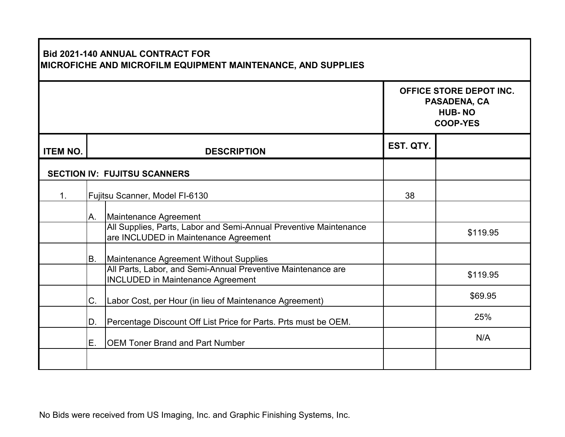| <b>Bid 2021-140 ANNUAL CONTRACT FOR</b><br>MICROFICHE AND MICROFILM EQUIPMENT MAINTENANCE, AND SUPPLIES |    |                                                                                                            |           |                                                                                    |  |
|---------------------------------------------------------------------------------------------------------|----|------------------------------------------------------------------------------------------------------------|-----------|------------------------------------------------------------------------------------|--|
|                                                                                                         |    |                                                                                                            |           | <b>OFFICE STORE DEPOT INC.</b><br>PASADENA, CA<br><b>HUB-NO</b><br><b>COOP-YES</b> |  |
| <b>ITEM NO.</b>                                                                                         |    | <b>DESCRIPTION</b>                                                                                         | EST. QTY. |                                                                                    |  |
|                                                                                                         |    | <b>SECTION IV: FUJITSU SCANNERS</b>                                                                        |           |                                                                                    |  |
| 1 <sub>1</sub>                                                                                          |    | Fujitsu Scanner, Model FI-6130                                                                             | 38        |                                                                                    |  |
|                                                                                                         | А. | Maintenance Agreement                                                                                      |           |                                                                                    |  |
|                                                                                                         |    | All Supplies, Parts, Labor and Semi-Annual Preventive Maintenance<br>are INCLUDED in Maintenance Agreement |           | \$119.95                                                                           |  |
|                                                                                                         | B. | Maintenance Agreement Without Supplies                                                                     |           |                                                                                    |  |
|                                                                                                         |    | All Parts, Labor, and Semi-Annual Preventive Maintenance are<br><b>INCLUDED in Maintenance Agreement</b>   |           | \$119.95                                                                           |  |
|                                                                                                         | C. | Labor Cost, per Hour (in lieu of Maintenance Agreement)                                                    |           | \$69.95                                                                            |  |
|                                                                                                         | D. | Percentage Discount Off List Price for Parts. Prts must be OEM.                                            |           | 25%                                                                                |  |
|                                                                                                         | Ε. | <b>OEM Toner Brand and Part Number</b>                                                                     |           | N/A                                                                                |  |
|                                                                                                         |    |                                                                                                            |           |                                                                                    |  |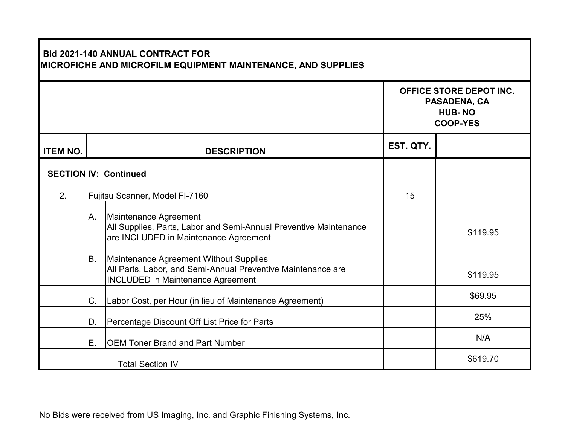| <b>Bid 2021-140 ANNUAL CONTRACT FOR</b><br>MICROFICHE AND MICROFILM EQUIPMENT MAINTENANCE, AND SUPPLIES |    |                                                                                                            |           |                                                                             |
|---------------------------------------------------------------------------------------------------------|----|------------------------------------------------------------------------------------------------------------|-----------|-----------------------------------------------------------------------------|
|                                                                                                         |    |                                                                                                            |           | OFFICE STORE DEPOT INC.<br>PASADENA, CA<br><b>HUB-NO</b><br><b>COOP-YES</b> |
| <b>ITEM NO.</b>                                                                                         |    | <b>DESCRIPTION</b>                                                                                         | EST. QTY. |                                                                             |
|                                                                                                         |    | <b>SECTION IV: Continued</b>                                                                               |           |                                                                             |
| 2.                                                                                                      |    | Fujitsu Scanner, Model FI-7160                                                                             | 15        |                                                                             |
|                                                                                                         | А. | Maintenance Agreement                                                                                      |           |                                                                             |
|                                                                                                         |    | All Supplies, Parts, Labor and Semi-Annual Preventive Maintenance<br>are INCLUDED in Maintenance Agreement |           | \$119.95                                                                    |
|                                                                                                         | B. | Maintenance Agreement Without Supplies                                                                     |           |                                                                             |
|                                                                                                         |    | All Parts, Labor, and Semi-Annual Preventive Maintenance are<br><b>INCLUDED in Maintenance Agreement</b>   |           | \$119.95                                                                    |
|                                                                                                         | C. | Labor Cost, per Hour (in lieu of Maintenance Agreement)                                                    |           | \$69.95                                                                     |
|                                                                                                         | D. | Percentage Discount Off List Price for Parts                                                               |           | 25%                                                                         |
|                                                                                                         | Ε. | <b>OEM Toner Brand and Part Number</b>                                                                     |           | N/A                                                                         |
|                                                                                                         |    | <b>Total Section IV</b>                                                                                    |           | \$619.70                                                                    |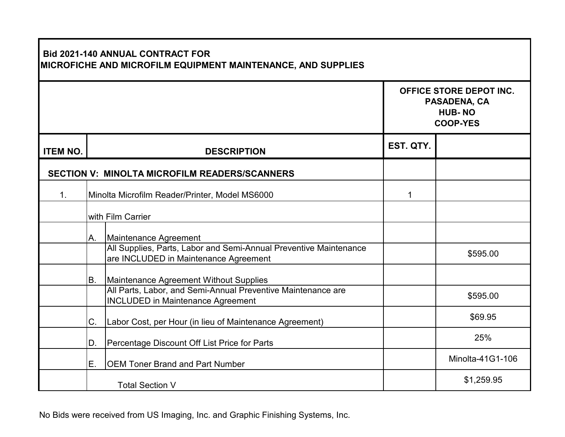| <b>Bid 2021-140 ANNUAL CONTRACT FOR</b><br>MICROFICHE AND MICROFILM EQUIPMENT MAINTENANCE, AND SUPPLIES |                                                |                                                                                                            |                                                                             |                  |  |  |  |
|---------------------------------------------------------------------------------------------------------|------------------------------------------------|------------------------------------------------------------------------------------------------------------|-----------------------------------------------------------------------------|------------------|--|--|--|
|                                                                                                         |                                                |                                                                                                            | OFFICE STORE DEPOT INC.<br>PASADENA, CA<br><b>HUB-NO</b><br><b>COOP-YES</b> |                  |  |  |  |
| <b>ITEM NO.</b>                                                                                         | <b>DESCRIPTION</b>                             |                                                                                                            | EST. QTY.                                                                   |                  |  |  |  |
|                                                                                                         |                                                | <b>SECTION V: MINOLTA MICROFILM READERS/SCANNERS</b>                                                       |                                                                             |                  |  |  |  |
| 1.                                                                                                      | Minolta Microfilm Reader/Printer, Model MS6000 |                                                                                                            | 1                                                                           |                  |  |  |  |
|                                                                                                         | with Film Carrier                              |                                                                                                            |                                                                             |                  |  |  |  |
|                                                                                                         | A.                                             | Maintenance Agreement                                                                                      |                                                                             |                  |  |  |  |
|                                                                                                         |                                                | All Supplies, Parts, Labor and Semi-Annual Preventive Maintenance<br>are INCLUDED in Maintenance Agreement |                                                                             | \$595.00         |  |  |  |
|                                                                                                         | Β.                                             | Maintenance Agreement Without Supplies                                                                     |                                                                             |                  |  |  |  |
|                                                                                                         |                                                | All Parts, Labor, and Semi-Annual Preventive Maintenance are<br><b>INCLUDED in Maintenance Agreement</b>   |                                                                             | \$595.00         |  |  |  |
|                                                                                                         | C.                                             | Labor Cost, per Hour (in lieu of Maintenance Agreement)                                                    |                                                                             | \$69.95          |  |  |  |
|                                                                                                         | D.                                             | Percentage Discount Off List Price for Parts                                                               |                                                                             | 25%              |  |  |  |
|                                                                                                         | Ε.                                             | <b>OEM Toner Brand and Part Number</b>                                                                     |                                                                             | Minolta-41G1-106 |  |  |  |
|                                                                                                         | <b>Total Section V</b>                         |                                                                                                            |                                                                             | \$1,259.95       |  |  |  |